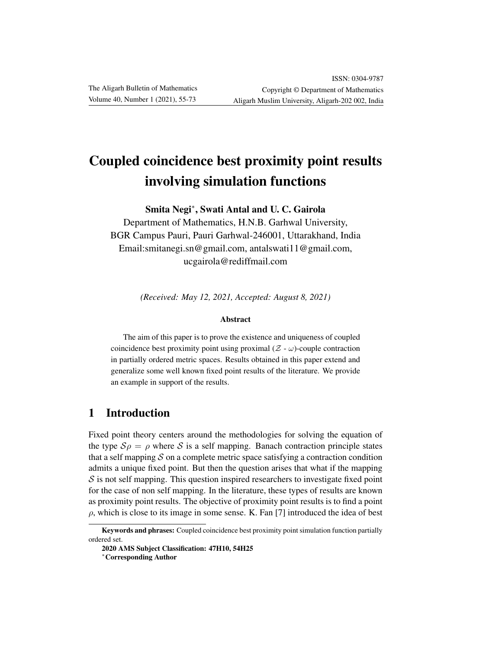# Coupled coincidence best proximity point results involving simulation functions

Smita Negi<sup>∗</sup> , Swati Antal and U. C. Gairola

Department of Mathematics, H.N.B. Garhwal University, BGR Campus Pauri, Pauri Garhwal-246001, Uttarakhand, India Email:smitanegi.sn@gmail.com, antalswati11@gmail.com, ucgairola@rediffmail.com

*(Received: May 12, 2021, Accepted: August 8, 2021)*

#### Abstract

The aim of this paper is to prove the existence and uniqueness of coupled coincidence best proximity point using proximal  $(Z - \omega)$ -couple contraction in partially ordered metric spaces. Results obtained in this paper extend and generalize some well known fixed point results of the literature. We provide an example in support of the results.

## 1 Introduction

Fixed point theory centers around the methodologies for solving the equation of the type  $S \rho = \rho$  where S is a self mapping. Banach contraction principle states that a self mapping  $S$  on a complete metric space satisfying a contraction condition admits a unique fixed point. But then the question arises that what if the mapping  $S$  is not self mapping. This question inspired researchers to investigate fixed point for the case of non self mapping. In the literature, these types of results are known as proximity point results. The objective of proximity point results is to find a point  $\rho$ , which is close to its image in some sense. K. Fan [7] introduced the idea of best

Keywords and phrases: Coupled coincidence best proximity point simulation function partially ordered set.

<sup>2020</sup> AMS Subject Classification: 47H10, 54H25

<sup>∗</sup>Corresponding Author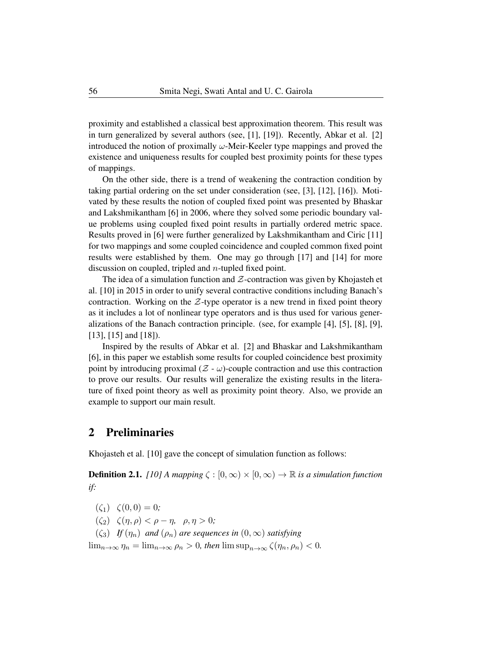proximity and established a classical best approximation theorem. This result was in turn generalized by several authors (see, [1], [19]). Recently, Abkar et al. [2] introduced the notion of proximally  $\omega$ -Meir-Keeler type mappings and proved the existence and uniqueness results for coupled best proximity points for these types of mappings.

On the other side, there is a trend of weakening the contraction condition by taking partial ordering on the set under consideration (see, [3], [12], [16]). Motivated by these results the notion of coupled fixed point was presented by Bhaskar and Lakshmikantham [6] in 2006, where they solved some periodic boundary value problems using coupled fixed point results in partially ordered metric space. Results proved in [6] were further generalized by Lakshmikantham and Ciric [11] for two mappings and some coupled coincidence and coupled common fixed point results were established by them. One may go through [17] and [14] for more discussion on coupled, tripled and n-tupled fixed point.

The idea of a simulation function and  $Z$ -contraction was given by Khojasteh et al. [10] in 2015 in order to unify several contractive conditions including Banach's contraction. Working on the  $Z$ -type operator is a new trend in fixed point theory as it includes a lot of nonlinear type operators and is thus used for various generalizations of the Banach contraction principle. (see, for example [4], [5], [8], [9], [13], [15] and [18]).

Inspired by the results of Abkar et al. [2] and Bhaskar and Lakshmikantham [6], in this paper we establish some results for coupled coincidence best proximity point by introducing proximal  $(Z - \omega)$ -couple contraction and use this contraction to prove our results. Our results will generalize the existing results in the literature of fixed point theory as well as proximity point theory. Also, we provide an example to support our main result.

### 2 Preliminaries

Khojasteh et al. [10] gave the concept of simulation function as follows:

**Definition 2.1.** *[10] A mapping*  $\zeta : [0, \infty) \times [0, \infty) \to \mathbb{R}$  *is a simulation function if:*

 $(\zeta_1) \quad \zeta(0,0) = 0;$ 

( $\zeta_2$ )  $\zeta(\eta, \rho) < \rho - \eta$ ,  $\rho, \eta > 0$ ;

 $(\zeta_3)$  *If*  $(\eta_n)$  *and*  $(\rho_n)$  *are sequences in*  $(0, \infty)$  *satisfying* 

 $\lim_{n\to\infty}\eta_n=\lim_{n\to\infty}\rho_n>0$ , then  $\limsup_{n\to\infty}\zeta(\eta_n,\rho_n)<0$ .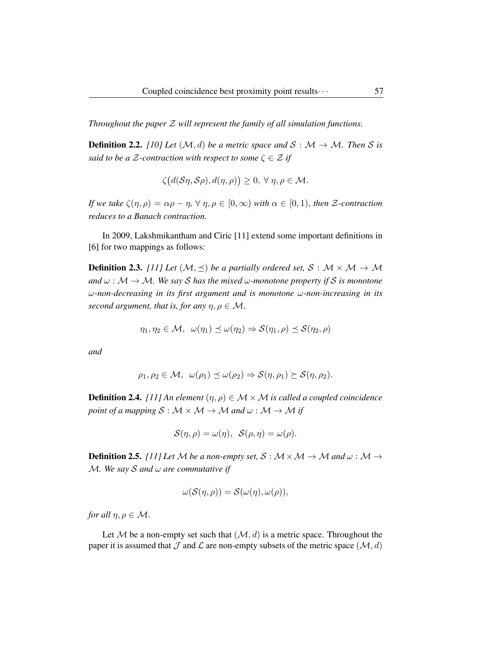*Throughout the paper* Z *will represent the family of all simulation functions.*

**Definition 2.2.** *[10] Let*  $(M, d)$  *be a metric space and*  $S : M \rightarrow M$ *. Then* S *is said to be a*  $\mathcal{Z}$ -contraction with respect to some  $\zeta \in \mathcal{Z}$  if

$$
\zeta\big(d(\mathcal{S}\eta,\mathcal{S}\rho),d(\eta,\rho)\big)\geq 0, \,\forall \,\eta,\rho\in\mathcal{M}.
$$

*If we take*  $\zeta(\eta,\rho) = \alpha \rho - \eta$ ,  $\forall \eta, \rho \in [0,\infty)$  *with*  $\alpha \in [0,1)$ *, then Z*-contraction *reduces to a Banach contraction.*

In 2009, Lakshmikantham and Ciric [11] extend some important definitions in [6] for two mappings as follows:

**Definition 2.3.** *[11] Let*  $(\mathcal{M}, \preceq)$  *be a partially ordered set,*  $\mathcal{S}: \mathcal{M} \times \mathcal{M} \rightarrow \mathcal{M}$ *and*  $\omega : \mathcal{M} \to \mathcal{M}$ *. We say S* has the mixed  $\omega$ -monotone property if *S* is monotone ω*-non-decreasing in its first argument and is monotone* ω*-non-increasing in its second argument, that is, for any*  $\eta, \rho \in \mathcal{M}$ ,

$$
\eta_1, \eta_2 \in \mathcal{M}, \ \omega(\eta_1) \preceq \omega(\eta_2) \Rightarrow \mathcal{S}(\eta_1, \rho) \preceq \mathcal{S}(\eta_2, \rho)
$$

*and*

$$
\rho_1, \rho_2 \in \mathcal{M}, \ \ \omega(\rho_1) \preceq \omega(\rho_2) \Rightarrow \mathcal{S}(\eta, \rho_1) \succeq \mathcal{S}(\eta, \rho_2).
$$

**Definition 2.4.** *[11] An element*  $(\eta, \rho) \in \mathcal{M} \times \mathcal{M}$  *is called a coupled coincidence point of a mapping*  $S : \mathcal{M} \times \mathcal{M} \rightarrow \mathcal{M}$  *and*  $\omega : \mathcal{M} \rightarrow \mathcal{M}$  *if* 

$$
\mathcal{S}(\eta,\rho) = \omega(\eta), \ \mathcal{S}(\rho,\eta) = \omega(\rho).
$$

**Definition 2.5.** *[11] Let* M *be a non-empty set,*  $S : M \times M \rightarrow M$  *and*  $\omega : M \rightarrow$ M*. We say* S *and* ω *are commutative if*

$$
\omega(\mathcal{S}(\eta,\rho))=\mathcal{S}(\omega(\eta),\omega(\rho)),
$$

*for all*  $\eta, \rho \in \mathcal{M}$ .

Let M be a non-empty set such that  $(M, d)$  is a metric space. Throughout the paper it is assumed that  $\mathcal J$  and  $\mathcal L$  are non-empty subsets of the metric space  $(\mathcal M, d)$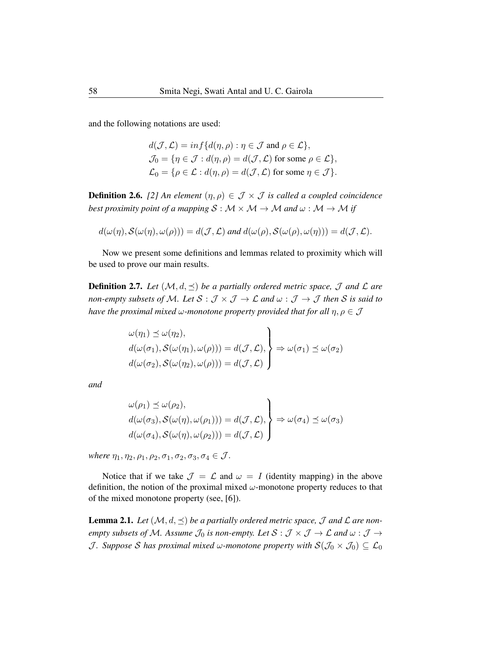and the following notations are used:

$$
d(\mathcal{J}, \mathcal{L}) = \inf \{ d(\eta, \rho) : \eta \in \mathcal{J} \text{ and } \rho \in \mathcal{L} \},
$$
  
\n
$$
\mathcal{J}_0 = \{ \eta \in \mathcal{J} : d(\eta, \rho) = d(\mathcal{J}, \mathcal{L}) \text{ for some } \rho \in \mathcal{L} \},
$$
  
\n
$$
\mathcal{L}_0 = \{ \rho \in \mathcal{L} : d(\eta, \rho) = d(\mathcal{J}, \mathcal{L}) \text{ for some } \eta \in \mathcal{J} \}.
$$

**Definition 2.6.** [2] An element  $(\eta, \rho) \in \mathcal{J} \times \mathcal{J}$  is called a coupled coincidence *best proximity point of a mapping*  $S : \mathcal{M} \times \mathcal{M} \rightarrow \mathcal{M}$  *and*  $\omega : \mathcal{M} \rightarrow \mathcal{M}$  *if* 

$$
d(\omega(\eta), \mathcal{S}(\omega(\eta), \omega(\rho))) = d(\mathcal{J}, \mathcal{L}) \text{ and } d(\omega(\rho), \mathcal{S}(\omega(\rho), \omega(\eta))) = d(\mathcal{J}, \mathcal{L}).
$$

Now we present some definitions and lemmas related to proximity which will be used to prove our main results.

**Definition 2.7.** Let  $(M, d, \preceq)$  be a partially ordered metric space, J and L are *non-empty subsets of M. Let*  $S : \mathcal{J} \times \mathcal{J} \to \mathcal{L}$  *and*  $\omega : \mathcal{J} \to \mathcal{J}$  *then* S *is said to have the proximal mixed*  $\omega$ *-monotone property provided that for all*  $\eta, \rho \in \mathcal{J}$ 

$$
\omega(\eta_1) \preceq \omega(\eta_2), \nd(\omega(\sigma_1), S(\omega(\eta_1), \omega(\rho))) = d(\mathcal{J}, \mathcal{L}), \nd(\omega(\sigma_2), S(\omega(\eta_2), \omega(\rho))) = d(\mathcal{J}, \mathcal{L})
$$

*and*

$$
\begin{aligned}\n\omega(\rho_1) &\leq \omega(\rho_2), \\
d(\omega(\sigma_3), \mathcal{S}(\omega(\eta), \omega(\rho_1))) &= d(\mathcal{J}, \mathcal{L}), \\
d(\omega(\sigma_4), \mathcal{S}(\omega(\eta), \omega(\rho_2))) &= d(\mathcal{J}, \mathcal{L})\n\end{aligned}\n\Rightarrow \omega(\sigma_4) \leq \omega(\sigma_3)
$$

*where*  $\eta_1, \eta_2, \rho_1, \rho_2, \sigma_1, \sigma_2, \sigma_3, \sigma_4 \in \mathcal{J}$ .

Notice that if we take  $\mathcal{J} = \mathcal{L}$  and  $\omega = I$  (identity mapping) in the above definition, the notion of the proximal mixed  $\omega$ -monotone property reduces to that of the mixed monotone property (see, [6]).

**Lemma 2.1.** Let  $(M, d, \preceq)$  be a partially ordered metric space,  $\mathcal{J}$  and  $\mathcal{L}$  are non*empty subsets of M. Assume*  $\mathcal{J}_0$  *is non-empty. Let*  $S : \mathcal{J} \times \mathcal{J} \to \mathcal{L}$  *and*  $\omega : \mathcal{J} \to$ *J.* Suppose S has proximal mixed  $\omega$ -monotone property with  $S(\mathcal{J}_0 \times \mathcal{J}_0) \subseteq \mathcal{L}_0$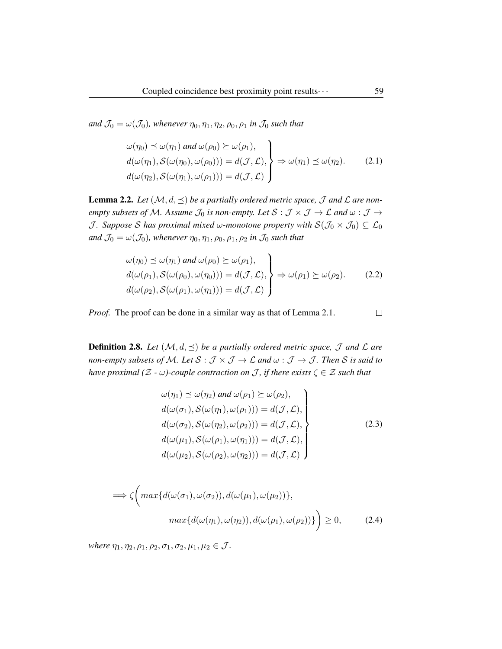*and*  $\mathcal{J}_0 = \omega(\mathcal{J}_0)$ *, whenever*  $\eta_0, \eta_1, \eta_2, \rho_0, \rho_1$  *in*  $\mathcal{J}_0$  *such that* 

$$
\omega(\eta_0) \preceq \omega(\eta_1) \text{ and } \omega(\rho_0) \succeq \omega(\rho_1),
$$
  
\n
$$
d(\omega(\eta_1), S(\omega(\eta_0), \omega(\rho_0))) = d(\mathcal{J}, \mathcal{L}),
$$
  
\n
$$
d(\omega(\eta_2), S(\omega(\eta_1), \omega(\rho_1))) = d(\mathcal{J}, \mathcal{L})
$$
  
\n
$$
\Longrightarrow \omega(\eta_1) \preceq \omega(\eta_2).
$$
 (2.1)

**Lemma 2.2.** Let  $(M, d, \preceq)$  be a partially ordered metric space,  $\mathcal{J}$  and  $\mathcal{L}$  are non*empty subsets of* M. Assume  $\mathcal{J}_0$  *is non-empty. Let*  $S : \mathcal{J} \times \mathcal{J} \to \mathcal{L}$  *and*  $\omega : \mathcal{J} \to$ *J.* Suppose S has proximal mixed  $\omega$ -monotone property with  $S(\mathcal{J}_0 \times \mathcal{J}_0) \subseteq \mathcal{L}_0$ *and*  $\mathcal{J}_0 = \omega(\mathcal{J}_0)$ *, whenever*  $\eta_0, \eta_1, \rho_0, \rho_1, \rho_2$  *in*  $\mathcal{J}_0$  *such that* 

$$
\omega(\eta_0) \preceq \omega(\eta_1) \text{ and } \omega(\rho_0) \succeq \omega(\rho_1),
$$
  
\n
$$
d(\omega(\rho_1), S(\omega(\rho_0), \omega(\eta_0))) = d(\mathcal{J}, \mathcal{L}),
$$
  
\n
$$
d(\omega(\rho_2), S(\omega(\rho_1), \omega(\eta_1))) = d(\mathcal{J}, \mathcal{L})
$$
  
\n
$$
\longrightarrow
$$

*Proof.* The proof can be done in a similar way as that of Lemma 2.1.

**Definition 2.8.** *Let*  $(\mathcal{M}, d, \preceq)$  *be a partially ordered metric space,*  $\mathcal{J}$  *and*  $\mathcal{L}$  *are non-empty subsets of M. Let*  $S : \mathcal{J} \times \mathcal{J} \to \mathcal{L}$  *and*  $\omega : \mathcal{J} \to \mathcal{J}$ *. Then* S *is said to have proximal* ( $\mathcal{Z}$  *-*  $\omega$ *)-couple contraction on*  $\mathcal{J}$ *, if there exists*  $\zeta \in \mathcal{Z}$  *such that* 

$$
\omega(\eta_1) \preceq \omega(\eta_2) \text{ and } \omega(\rho_1) \succeq \omega(\rho_2),
$$
  
\n
$$
d(\omega(\sigma_1), S(\omega(\eta_1), \omega(\rho_1))) = d(\mathcal{J}, \mathcal{L}),
$$
  
\n
$$
d(\omega(\sigma_2), S(\omega(\eta_2), \omega(\rho_2))) = d(\mathcal{J}, \mathcal{L}),
$$
  
\n
$$
d(\omega(\mu_1), S(\omega(\rho_1), \omega(\eta_1))) = d(\mathcal{J}, \mathcal{L}),
$$
  
\n
$$
d(\omega(\mu_2), S(\omega(\rho_2), \omega(\eta_2))) = d(\mathcal{J}, \mathcal{L})
$$
\n(2.3)

$$
\implies \zeta\bigg(max\{d(\omega(\sigma_1), \omega(\sigma_2)), d(\omega(\mu_1), \omega(\mu_2))\},\
$$

$$
max\{d(\omega(\eta_1), \omega(\eta_2)), d(\omega(\rho_1), \omega(\rho_2))\}\bigg) \ge 0,
$$
 (2.4)

*where*  $\eta_1, \eta_2, \rho_1, \rho_2, \sigma_1, \sigma_2, \mu_1, \mu_2 \in \mathcal{J}$ .

 $\Box$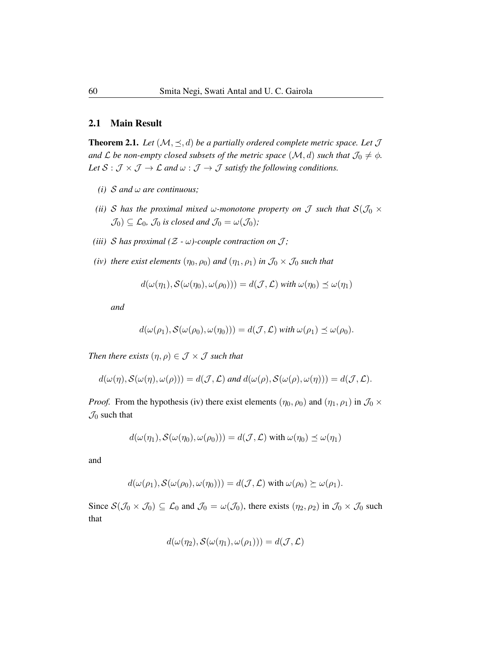#### 2.1 Main Result

**Theorem 2.1.** Let  $(M, \leq, d)$  be a partially ordered complete metric space. Let  $\mathcal{J}$ *and*  $\mathcal L$  *be non-empty closed subsets of the metric space*  $(\mathcal M, d)$  *such that*  $\mathcal J_0 \neq \phi$ *.* Let  $S : \mathcal{J} \times \mathcal{J} \to \mathcal{L}$  and  $\omega : \mathcal{J} \to \mathcal{J}$  satisfy the following conditions.

- *(i)* S *and* ω *are continuous;*
- *(ii)* S has the proximal mixed  $\omega$ -monotone property on J such that  $S(\mathcal{J}_0 \times$  $\mathcal{J}_0$ )  $\subseteq$   $\mathcal{L}_0$ *,*  $\mathcal{J}_0$  *is closed and*  $\mathcal{J}_0 = \omega(\mathcal{J}_0)$ *;*
- *(iii)*  $S$  *has proximal*  $(Z \omega)$ -couple contraction on  $J$ ;
- *(iv) there exist elements*  $(\eta_0, \rho_0)$  *and*  $(\eta_1, \rho_1)$  *in*  $\mathcal{J}_0 \times \mathcal{J}_0$  *such that*

$$
d(\omega(\eta_1), S(\omega(\eta_0), \omega(\rho_0))) = d(\mathcal{J}, \mathcal{L}) \text{ with } \omega(\eta_0) \preceq \omega(\eta_1)
$$

*and*

$$
d(\omega(\rho_1), \mathcal{S}(\omega(\rho_0), \omega(\eta_0))) = d(\mathcal{J}, \mathcal{L}) \text{ with } \omega(\rho_1) \preceq \omega(\rho_0).
$$

*Then there exists*  $(\eta, \rho) \in \mathcal{J} \times \mathcal{J}$  *such that* 

$$
d(\omega(\eta), \mathcal{S}(\omega(\eta), \omega(\rho))) = d(\mathcal{J}, \mathcal{L}) \text{ and } d(\omega(\rho), \mathcal{S}(\omega(\rho), \omega(\eta))) = d(\mathcal{J}, \mathcal{L}).
$$

*Proof.* From the hypothesis (iv) there exist elements  $(\eta_0, \rho_0)$  and  $(\eta_1, \rho_1)$  in  $\mathcal{J}_0 \times$  $\mathcal{J}_0$  such that

$$
d(\omega(\eta_1), \mathcal{S}(\omega(\eta_0), \omega(\rho_0))) = d(\mathcal{J}, \mathcal{L}) \text{ with } \omega(\eta_0) \preceq \omega(\eta_1)
$$

and

$$
d(\omega(\rho_1), S(\omega(\rho_0), \omega(\eta_0))) = d(\mathcal{J}, \mathcal{L}) \text{ with } \omega(\rho_0) \succeq \omega(\rho_1).
$$

Since  $\mathcal{S}(\mathcal{J}_0 \times \mathcal{J}_0) \subseteq \mathcal{L}_0$  and  $\mathcal{J}_0 = \omega(\mathcal{J}_0)$ , there exists  $(\eta_2, \rho_2)$  in  $\mathcal{J}_0 \times \mathcal{J}_0$  such that

$$
d(\omega(\eta_2), \mathcal{S}(\omega(\eta_1), \omega(\rho_1))) = d(\mathcal{J}, \mathcal{L})
$$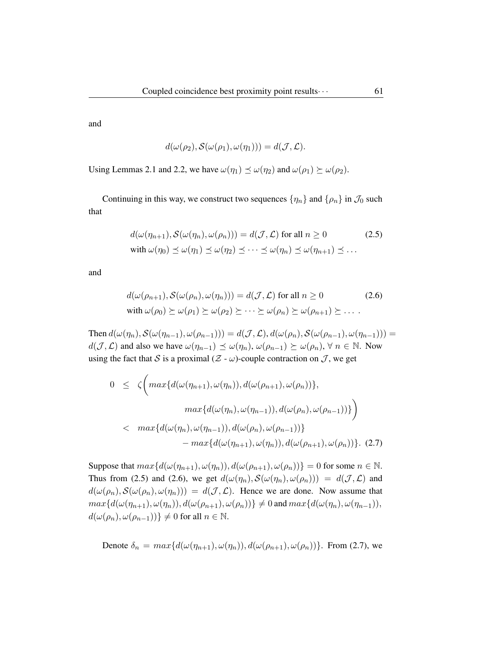and

$$
d(\omega(\rho_2), \mathcal{S}(\omega(\rho_1), \omega(\eta_1))) = d(\mathcal{J}, \mathcal{L}).
$$

Using Lemmas 2.1 and 2.2, we have  $\omega(\eta_1) \preceq \omega(\eta_2)$  and  $\omega(\rho_1) \succeq \omega(\rho_2)$ .

Continuing in this way, we construct two sequences  $\{\eta_n\}$  and  $\{\rho_n\}$  in  $\mathcal{J}_0$  such that

$$
d(\omega(\eta_{n+1}), S(\omega(\eta_n), \omega(\rho_n))) = d(\mathcal{J}, \mathcal{L}) \text{ for all } n \ge 0
$$
 (2.5)  
with  $\omega(\eta_0) \preceq \omega(\eta_1) \preceq \omega(\eta_2) \preceq \cdots \preceq \omega(\eta_n) \preceq \omega(\eta_{n+1}) \preceq \cdots$ 

and

$$
d(\omega(\rho_{n+1}), S(\omega(\rho_n), \omega(\eta_n))) = d(\mathcal{J}, \mathcal{L}) \text{ for all } n \ge 0
$$
 (2.6)  
with  $\omega(\rho_0) \succeq \omega(\rho_1) \succeq \omega(\rho_2) \succeq \cdots \succeq \omega(\rho_n) \succeq \omega(\rho_{n+1}) \succeq \cdots$ 

Then  $d(\omega(\eta_n), \mathcal{S}(\omega(\eta_{n-1}), \omega(\rho_{n-1}))) = d(\mathcal{J}, \mathcal{L}), d(\omega(\rho_n), \mathcal{S}(\omega(\rho_{n-1}), \omega(\eta_{n-1}))) =$  $d(\mathcal{J}, \mathcal{L})$  and also we have  $\omega(\eta_{n-1}) \preceq \omega(\eta_n)$ ,  $\omega(\rho_{n-1}) \succeq \omega(\rho_n)$ ,  $\forall n \in \mathbb{N}$ . Now using the fact that S is a proximal  $(Z - \omega)$ -couple contraction on J, we get

$$
0 \leq \zeta \Big( \max \{ d(\omega(\eta_{n+1}), \omega(\eta_n)), d(\omega(\rho_{n+1}), \omega(\rho_n)) \},
$$
  

$$
\max \{ d(\omega(\eta_n), \omega(\eta_{n-1})), d(\omega(\rho_n), \omega(\rho_{n-1})) \} \Big)
$$
  

$$
< \max \{ d(\omega(\eta_n), \omega(\eta_{n-1})), d(\omega(\rho_n), \omega(\rho_{n-1})) \} - \max \{ d(\omega(\eta_{n+1}), \omega(\eta_n)), d(\omega(\rho_{n+1}), \omega(\rho_n)) \}. (2.7)
$$

Suppose that  $max{d(\omega(\eta_{n+1}), \omega(\eta_n)), d(\omega(\rho_{n+1}), \omega(\rho_n))} = 0$  for some  $n \in \mathbb{N}$ . Thus from (2.5) and (2.6), we get  $d(\omega(\eta_n), S(\omega(\eta_n), \omega(\rho_n))) = d(\mathcal{J}, \mathcal{L})$  and  $d(\omega(\rho_n), \mathcal{S}(\omega(\rho_n), \omega(\eta_n))) = d(\mathcal{J}, \mathcal{L})$ . Hence we are done. Now assume that  $max{d(\omega(\eta_{n+1}), \omega(\eta_n)), d(\omega(\rho_{n+1}), \omega(\rho_n))} \neq 0$  and  $max{d(\omega(\eta_n), \omega(\eta_{n-1}))}$ ,  $d(\omega(\rho_n), \omega(\rho_{n-1})) \neq 0$  for all  $n \in \mathbb{N}$ .

Denote  $\delta_n = max\{d(\omega(\eta_{n+1}), \omega(\eta_n)), d(\omega(\rho_{n+1}), \omega(\rho_n))\}$ . From (2.7), we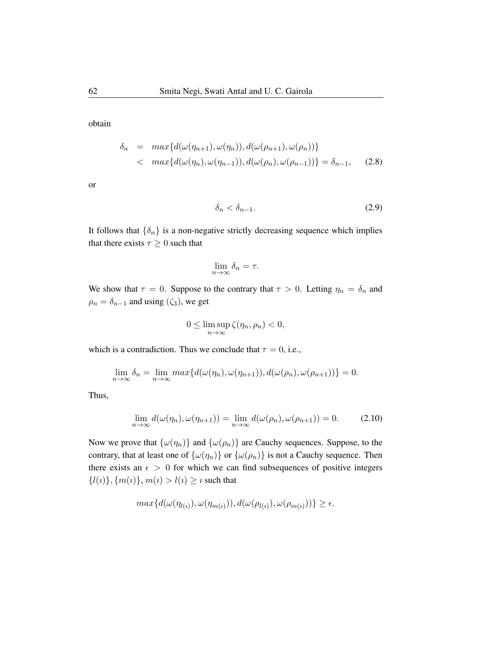obtain

$$
\delta_n = \max\{d(\omega(\eta_{n+1}), \omega(\eta_n)), d(\omega(\rho_{n+1}), \omega(\rho_n))\}
$$
  
< 
$$
\langle \max\{d(\omega(\eta_n), \omega(\eta_{n-1})), d(\omega(\rho_n), \omega(\rho_{n-1}))\} = \delta_{n-1}, \quad (2.8)
$$

or

$$
\delta_n < \delta_{n-1}.\tag{2.9}
$$

It follows that  $\{\delta_n\}$  is a non-negative strictly decreasing sequence which implies that there exists  $\tau \geq 0$  such that

$$
\lim_{n \to \infty} \delta_n = \tau.
$$

We show that  $\tau = 0$ . Suppose to the contrary that  $\tau > 0$ . Letting  $\eta_n = \delta_n$  and  $\rho_n = \delta_{n-1}$  and using  $(\zeta_3)$ , we get

$$
0 \le \limsup_{n \to \infty} \zeta(\eta_n, \rho_n) < 0,
$$

which is a contradiction. Thus we conclude that  $\tau = 0$ , i.e.,

$$
\lim_{n \to \infty} \delta_n = \lim_{n \to \infty} \max \{ d(\omega(\eta_n), \omega(\eta_{n+1})), d(\omega(\rho_n), \omega(\rho_{n+1})) \} = 0.
$$

Thus,

$$
\lim_{n \to \infty} d(\omega(\eta_n), \omega(\eta_{n+1})) = \lim_{n \to \infty} d(\omega(\rho_n), \omega(\rho_{n+1})) = 0.
$$
 (2.10)

Now we prove that  $\{\omega(\eta_n)\}\$  and  $\{\omega(\rho_n)\}\$  are Cauchy sequences. Suppose, to the contrary, that at least one of  $\{\omega(\eta_n)\}\$  or  $\{\omega(\rho_n)\}\$ is not a Cauchy sequence. Then there exists an  $\epsilon > 0$  for which we can find subsequences of positive integers  $\{l(i)\}, \{m(i)\}, m(i) > l(i) \geq i$  such that

$$
max\{d(\omega(\eta_{l(i)}), \omega(\eta_{m(i)})), d(\omega(\rho_{l(i)}), \omega(\rho_{m(i)}))\} \ge \epsilon.
$$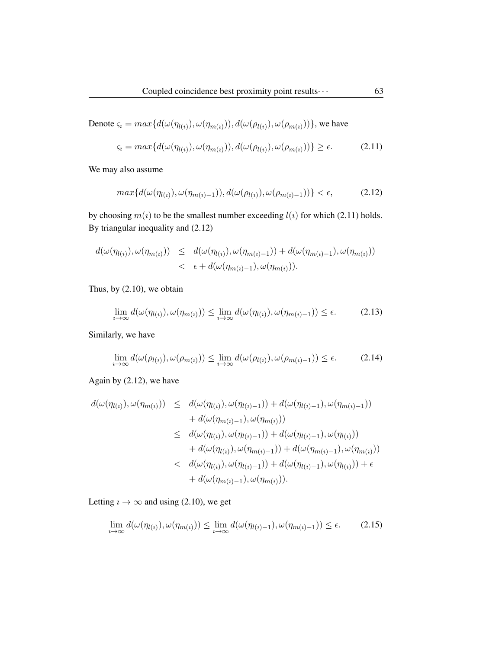Denote 
$$
\varsigma_i = max\{d(\omega(\eta_{l(i)}), \omega(\eta_{m(i)})), d(\omega(\rho_{l(i)}), \omega(\rho_{m(i)}))\}
$$
, we have

$$
\varsigma_i = \max\{d(\omega(\eta_{l(i)}), \omega(\eta_{m(i)})), d(\omega(\rho_{l(i)}), \omega(\rho_{m(i)}))\} \ge \epsilon. \tag{2.11}
$$

We may also assume

$$
\max\{d(\omega(\eta_{l(i)}), \omega(\eta_{m(i)-1})), d(\omega(\rho_{l(i)}), \omega(\rho_{m(i)-1}))\} < \epsilon,\tag{2.12}
$$

by choosing  $m(i)$  to be the smallest number exceeding  $l(i)$  for which (2.11) holds. By triangular inequality and (2.12)

$$
d(\omega(\eta_{l(i)}), \omega(\eta_{m(i)})) \leq d(\omega(\eta_{l(i)}), \omega(\eta_{m(i)-1})) + d(\omega(\eta_{m(i)-1}), \omega(\eta_{m(i)}))
$$
  

$$
< \epsilon + d(\omega(\eta_{m(i)-1}), \omega(\eta_{m(i)})).
$$

Thus, by (2.10), we obtain

$$
\lim_{i \to \infty} d(\omega(\eta_{l(i)}), \omega(\eta_{m(i)})) \le \lim_{i \to \infty} d(\omega(\eta_{l(i)}), \omega(\eta_{m(i)-1})) \le \epsilon.
$$
 (2.13)

Similarly, we have

$$
\lim_{i \to \infty} d(\omega(\rho_{l(i)}), \omega(\rho_{m(i)})) \le \lim_{i \to \infty} d(\omega(\rho_{l(i)}), \omega(\rho_{m(i)-1})) \le \epsilon.
$$
 (2.14)

Again by (2.12), we have

$$
d(\omega(\eta_{l(i)}), \omega(\eta_{m(i)})) \leq d(\omega(\eta_{l(i)}), \omega(\eta_{l(i)-1})) + d(\omega(\eta_{l(i)-1}), \omega(\eta_{m(i)-1})) + d(\omega(\eta_{m(i)-1}), \omega(\eta_{m(i)})) \leq d(\omega(\eta_{l(i)}), \omega(\eta_{l(i)-1})) + d(\omega(\eta_{l(i)-1}), \omega(\eta_{l(i)})) + d(\omega(\eta_{l(i)}), \omega(\eta_{m(i)-1})) + d(\omega(\eta_{m(i)-1}), \omega(\eta_{m(i)})) < d(\omega(\eta_{l(i)}), \omega(\eta_{l(i)-1})) + d(\omega(\eta_{l(i)-1}), \omega(\eta_{l(i)})) + \epsilon + d(\omega(\eta_{m(i)-1}), \omega(\eta_{m(i)})).
$$

Letting  $\imath \to \infty$  and using (2.10), we get

$$
\lim_{i \to \infty} d(\omega(\eta_{l(i)}), \omega(\eta_{m(i)})) \le \lim_{i \to \infty} d(\omega(\eta_{l(i)-1}), \omega(\eta_{m(i)-1})) \le \epsilon.
$$
 (2.15)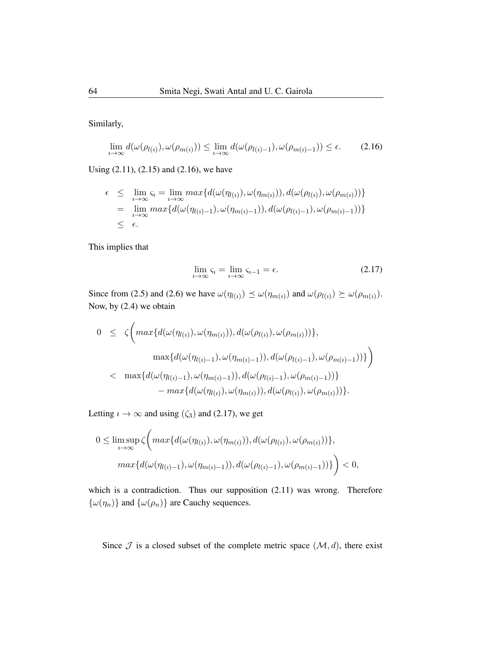Similarly,

$$
\lim_{i \to \infty} d(\omega(\rho_{l(i)}), \omega(\rho_{m(i)})) \le \lim_{i \to \infty} d(\omega(\rho_{l(i)-1}), \omega(\rho_{m(i)-1})) \le \epsilon.
$$
 (2.16)

Using (2.11), (2.15) and (2.16), we have

$$
\epsilon \leq \lim_{i \to \infty} \varsigma_i = \lim_{i \to \infty} \max \{ d(\omega(\eta_{l(i)}), \omega(\eta_{m(i)})), d(\omega(\rho_{l(i)}), \omega(\rho_{m(i)})) \}
$$
  
= 
$$
\lim_{i \to \infty} \max \{ d(\omega(\eta_{l(i)-1}), \omega(\eta_{m(i)-1})), d(\omega(\rho_{l(i)-1}), \omega(\rho_{m(i)-1})) \}
$$
  

$$
\leq \epsilon.
$$

This implies that

$$
\lim_{i \to \infty} \varsigma_i = \lim_{i \to \infty} \varsigma_{i-1} = \epsilon. \tag{2.17}
$$

Since from (2.5) and (2.6) we have  $\omega(\eta_{l(i)}) \preceq \omega(\eta_{m(i)})$  and  $\omega(\rho_{l(i)}) \succeq \omega(\rho_{m(i)})$ . Now, by (2.4) we obtain

$$
0 \leq \zeta \Big( \max \{ d(\omega(\eta_{l(i)}), \omega(\eta_{m(i)})), d(\omega(\rho_{l(i)}), \omega(\rho_{m(i)})) \},
$$
  

$$
\max \{ d(\omega(\eta_{l(i)-1}), \omega(\eta_{m(i)-1})), d(\omega(\rho_{l(i)-1}), \omega(\rho_{m(i)-1})) \} \Big)
$$
  

$$
< \max \{ d(\omega(\eta_{l(i)-1}), \omega(\eta_{m(i)-1})), d(\omega(\rho_{l(i)-1}), \omega(\rho_{m(i)-1})) \} - \max \{ d(\omega(\eta_{l(i)}), \omega(\eta_{m(i)})), d(\omega(\rho_{l(i)}), \omega(\rho_{m(i)})) \}.
$$

Letting  $\imath \to \infty$  and using  $(\zeta_3)$  and (2.17), we get

$$
0 \leq \limsup_{i \to \infty} \zeta \Big( max\{ d(\omega(\eta_{l(i)}), \omega(\eta_{m(i)})), d(\omega(\rho_{l(i)}), \omega(\rho_{m(i)})) \},\
$$

$$
max\{ d(\omega(\eta_{l(i)-1}), \omega(\eta_{m(i)-1})), d(\omega(\rho_{l(i)-1}), \omega(\rho_{m(i)-1})) \} \Big) < 0,
$$

which is a contradiction. Thus our supposition  $(2.11)$  was wrong. Therefore  $\{\omega(\eta_n)\}$  and  $\{\omega(\rho_n)\}$  are Cauchy sequences.

Since  $\mathcal J$  is a closed subset of the complete metric space  $(\mathcal M, d)$ , there exist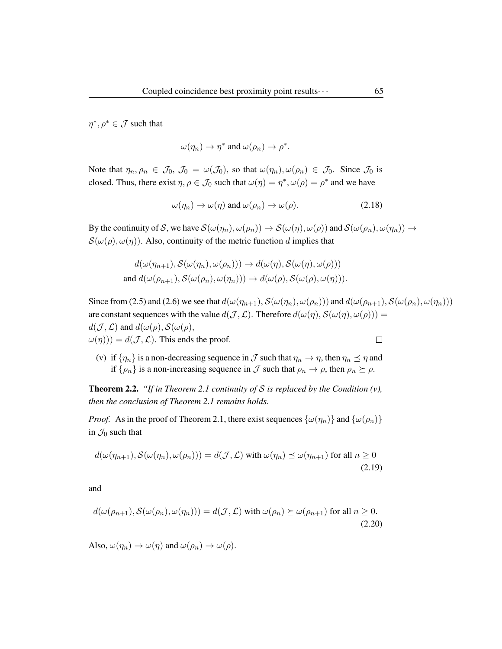$\eta^*, \rho^* \in \mathcal{J}$  such that

$$
\omega(\eta_n) \to \eta^* \text{ and } \omega(\rho_n) \to \rho^*.
$$

Note that  $\eta_n, \rho_n \in \mathcal{J}_0$ ,  $\mathcal{J}_0 = \omega(\mathcal{J}_0)$ , so that  $\omega(\eta_n), \omega(\rho_n) \in \mathcal{J}_0$ . Since  $\mathcal{J}_0$  is closed. Thus, there exist  $\eta, \rho \in \mathcal{J}_0$  such that  $\omega(\eta) = \eta^*, \omega(\rho) = \rho^*$  and we have

$$
\omega(\eta_n) \to \omega(\eta) \text{ and } \omega(\rho_n) \to \omega(\rho). \tag{2.18}
$$

By the continuity of S, we have  $\mathcal{S}(\omega(\eta_n), \omega(\rho_n)) \to \mathcal{S}(\omega(\eta), \omega(\rho))$  and  $\mathcal{S}(\omega(\rho_n), \omega(\eta_n)) \to$  $S(\omega(\rho), \omega(\eta))$ . Also, continuity of the metric function d implies that

$$
d(\omega(\eta_{n+1}), S(\omega(\eta_n), \omega(\rho_n))) \to d(\omega(\eta), S(\omega(\eta), \omega(\rho)))
$$
  
and 
$$
d(\omega(\rho_{n+1}), S(\omega(\rho_n), \omega(\eta_n))) \to d(\omega(\rho), S(\omega(\rho), \omega(\eta))).
$$

Since from (2.5) and (2.6) we see that  $d(\omega(\eta_{n+1}), S(\omega(\eta_n), \omega(\rho_n)))$  and  $d(\omega(\rho_{n+1}), S(\omega(\rho_n), \omega(\eta_n)))$ are constant sequences with the value  $d(\mathcal{J}, \mathcal{L})$ . Therefore  $d(\omega(\eta), \mathcal{S}(\omega(\eta), \omega(\rho))) =$  $d(\mathcal{J}, \mathcal{L})$  and  $d(\omega(\rho), \mathcal{S}(\omega(\rho)),$  $\omega(\eta)$ ) =  $d(\mathcal{J}, \mathcal{L})$ . This ends the proof.  $\Box$ 

(v) if  $\{\eta_n\}$  is a non-decreasing sequence in  $\mathcal J$  such that  $\eta_n \to \eta$ , then  $\eta_n \preceq \eta$  and if  $\{\rho_n\}$  is a non-increasing sequence in  $\mathcal J$  such that  $\rho_n \to \rho$ , then  $\rho_n \succeq \rho$ .

Theorem 2.2. *"If in Theorem 2.1 continuity of* S *is replaced by the Condition (v), then the conclusion of Theorem 2.1 remains holds.*

*Proof.* As in the proof of Theorem 2.1, there exist sequences  $\{\omega(\eta_n)\}\$  and  $\{\omega(\rho_n)\}\$ in  $\mathcal{J}_0$  such that

$$
d(\omega(\eta_{n+1}), S(\omega(\eta_n), \omega(\rho_n))) = d(\mathcal{J}, \mathcal{L}) \text{ with } \omega(\eta_n) \preceq \omega(\eta_{n+1}) \text{ for all } n \ge 0
$$
\n(2.19)

and

$$
d(\omega(\rho_{n+1}), \mathcal{S}(\omega(\rho_n), \omega(\eta_n))) = d(\mathcal{J}, \mathcal{L}) \text{ with } \omega(\rho_n) \succeq \omega(\rho_{n+1}) \text{ for all } n \ge 0.
$$
\n(2.20)

Also,  $\omega(\eta_n) \to \omega(\eta)$  and  $\omega(\rho_n) \to \omega(\rho)$ .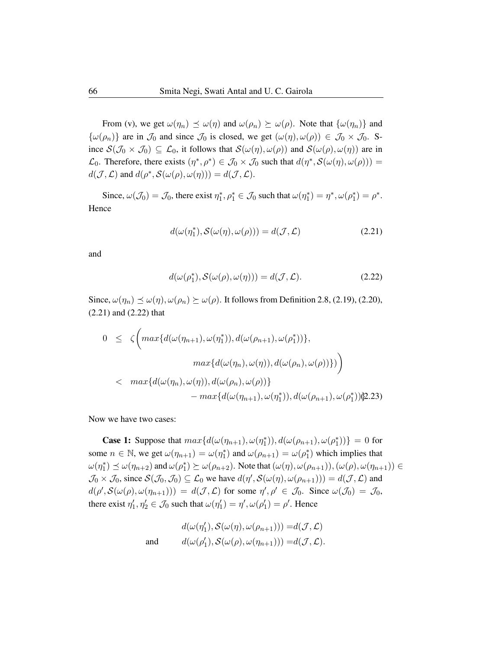From (v), we get  $\omega(\eta_n) \preceq \omega(\eta)$  and  $\omega(\rho_n) \succeq \omega(\rho)$ . Note that  $\{\omega(\eta_n)\}\$ and  $\{\omega(\rho_n)\}\$ are in  $\mathcal{J}_0$  and since  $\mathcal{J}_0$  is closed, we get  $(\omega(\eta), \omega(\rho)) \in \mathcal{J}_0 \times \mathcal{J}_0$ . Since  $\mathcal{S}(\mathcal{J}_0 \times \mathcal{J}_0) \subseteq \mathcal{L}_0$ , it follows that  $\mathcal{S}(\omega(\eta), \omega(\rho))$  and  $\mathcal{S}(\omega(\rho), \omega(\eta))$  are in  $\mathcal{L}_0$ . Therefore, there exists  $(\eta^*, \rho^*) \in \mathcal{J}_0 \times \mathcal{J}_0$  such that  $d(\eta^*, \mathcal{S}(\omega(\eta), \omega(\rho))) =$  $d(\mathcal{J}, \mathcal{L})$  and  $d(\rho^*, \mathcal{S}(\omega(\rho), \omega(\eta))) = d(\mathcal{J}, \mathcal{L}).$ 

Since,  $\omega(\mathcal{J}_0) = \mathcal{J}_0$ , there exist  $\eta_1^*, \rho_1^* \in \mathcal{J}_0$  such that  $\omega(\eta_1^*) = \eta^*, \omega(\rho_1^*) = \rho^*$ . Hence

$$
d(\omega(\eta_1^*), \mathcal{S}(\omega(\eta), \omega(\rho))) = d(\mathcal{J}, \mathcal{L})
$$
\n(2.21)

and

$$
d(\omega(\rho_1^*), \mathcal{S}(\omega(\rho), \omega(\eta))) = d(\mathcal{J}, \mathcal{L}).
$$
\n(2.22)

Since,  $\omega(\eta_n) \preceq \omega(\eta), \omega(\rho_n) \succeq \omega(\rho)$ . It follows from Definition 2.8, (2.19), (2.20), (2.21) and (2.22) that

$$
0 \leq \zeta \Big( \max \{ d(\omega(\eta_{n+1}), \omega(\eta_1^*)), d(\omega(\rho_{n+1}), \omega(\rho_1^*)) \},
$$
  

$$
\max \{ d(\omega(\eta_n), \omega(\eta)), d(\omega(\rho_n), \omega(\rho)) \} \Big)
$$
  

$$
< \max \{ d(\omega(\eta_n), \omega(\eta)), d(\omega(\rho_n), \omega(\rho)) \}
$$
  

$$
- \max \{ d(\omega(\eta_{n+1}), \omega(\eta_1^*)), d(\omega(\rho_{n+1}), \omega(\rho_1^*)) \}.
$$
23)

Now we have two cases:

**Case 1:** Suppose that  $max\{d(\omega(\eta_{n+1}), \omega(\eta_1^*)), d(\omega(\rho_{n+1}), \omega(\rho_1^*))\} = 0$  for some  $n \in \mathbb{N}$ , we get  $\omega(\eta_{n+1}) = \omega(\eta_1^*)$  and  $\omega(\rho_{n+1}) = \omega(\rho_1^*)$  which implies that  $\omega(\eta_1^*) \preceq \omega(\eta_{n+2})$  and  $\omega(\rho_1^*) \succeq \omega(\rho_{n+2})$ . Note that  $(\omega(\eta), \omega(\rho_{n+1})), (\omega(\rho), \omega(\eta_{n+1})) \in$  $\mathcal{J}_0 \times \mathcal{J}_0$ , since  $\mathcal{S}(\mathcal{J}_0, \mathcal{J}_0) \subseteq \mathcal{L}_0$  we have  $d(\eta', \mathcal{S}(\omega(\eta), \omega(\rho_{n+1}))) = d(\mathcal{J}, \mathcal{L})$  and  $d(\rho', \mathcal{S}(\omega(\rho), \omega(\eta_{n+1}))) = d(\mathcal{J}, \mathcal{L})$  for some  $\eta', \rho' \in \mathcal{J}_0$ . Since  $\omega(\mathcal{J}_0) = \mathcal{J}_0$ , there exist  $\eta'_1, \eta'_2 \in \mathcal{J}_0$  such that  $\omega(\eta'_1) = \eta', \omega(\rho'_1) = \rho'.$  Hence

$$
d(\omega(\eta'_1), S(\omega(\eta), \omega(\rho_{n+1}))) = d(\mathcal{J}, \mathcal{L})
$$
  
and 
$$
d(\omega(\rho'_1), S(\omega(\rho), \omega(\eta_{n+1}))) = d(\mathcal{J}, \mathcal{L}).
$$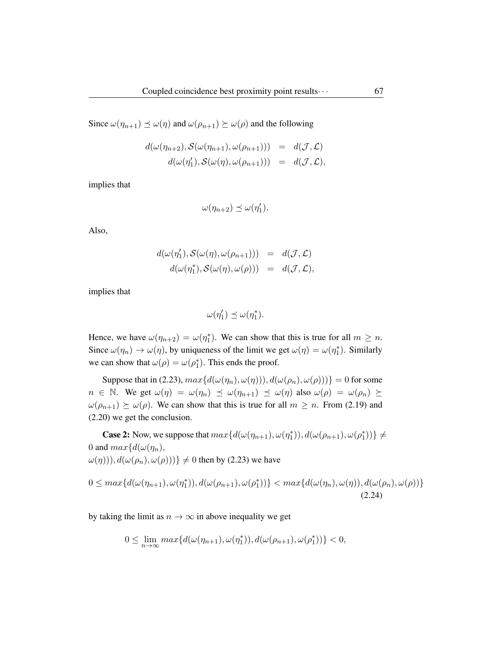Since  $\omega(\eta_{n+1}) \preceq \omega(\eta)$  and  $\omega(\rho_{n+1}) \succeq \omega(\rho)$  and the following

$$
d(\omega(\eta_{n+2}), S(\omega(\eta_{n+1}), \omega(\rho_{n+1}))) = d(\mathcal{J}, \mathcal{L})
$$
  

$$
d(\omega(\eta'_1), S(\omega(\eta), \omega(\rho_{n+1}))) = d(\mathcal{J}, \mathcal{L}),
$$

implies that

$$
\omega(\eta_{n+2}) \preceq \omega(\eta'_1).
$$

Also,

$$
d(\omega(\eta'_1), S(\omega(\eta), \omega(\rho_{n+1}))) = d(\mathcal{J}, \mathcal{L})
$$
  

$$
d(\omega(\eta''_1), S(\omega(\eta), \omega(\rho))) = d(\mathcal{J}, \mathcal{L}),
$$

implies that

$$
\omega(\eta_1') \preceq \omega(\eta_1^*).
$$

Hence, we have  $\omega(\eta_{n+2}) = \omega(\eta_1^*)$ . We can show that this is true for all  $m \geq n$ . Since  $\omega(\eta_n) \to \omega(\eta)$ , by uniqueness of the limit we get  $\omega(\eta) = \omega(\eta_1^*)$ . Similarly we can show that  $\omega(\rho) = \omega(\rho_1^*)$ . This ends the proof.

Suppose that in (2.23),  $max{d(\omega(\eta_n), \omega(\eta)))}, d(\omega(\rho_n), \omega(\rho)))\}=0$  for some  $n \in \mathbb{N}$ . We get  $\omega(\eta) = \omega(\eta_n) \preceq \omega(\eta_{n+1}) \preceq \omega(\eta)$  also  $\omega(\rho) = \omega(\rho_n) \succeq \omega(\rho)$  $\omega(\rho_{n+1}) \succeq \omega(\rho)$ . We can show that this is true for all  $m \geq n$ . From (2.19) and (2.20) we get the conclusion.

**Case 2:** Now, we suppose that  $max\{d(\omega(\eta_{n+1}), \omega(\eta_1^*)), d(\omega(\rho_{n+1}), \omega(\rho_1^*))\}\neq$ 0 and  $max{d(\omega(\eta_n))}$ ,  $\omega(\eta)$ ),  $d(\omega(\rho_n), \omega(\rho)))$   $\neq 0$  then by (2.23) we have

$$
0 \leq max\{d(\omega(\eta_{n+1}), \omega(\eta_1^*)), d(\omega(\rho_{n+1}), \omega(\rho_1^*))\} < max\{d(\omega(\eta_n), \omega(\eta)), d(\omega(\rho_n), \omega(\rho))\}
$$
\n(2.24)

by taking the limit as  $n \to \infty$  in above inequality we get

$$
0 \leq \lim_{n \to \infty} \max \{ d(\omega(\eta_{n+1}), \omega(\eta_1^*)), d(\omega(\rho_{n+1}), \omega(\rho_1^*)) \} < 0,
$$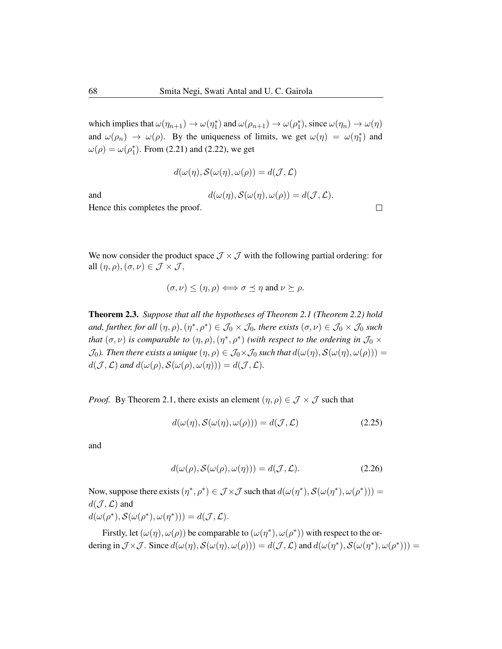which implies that  $\omega(\eta_{n+1}) \to \omega(\eta_1^*)$  and  $\omega(\rho_{n+1}) \to \omega(\rho_1^*)$ , since  $\omega(\eta_n) \to \omega(\eta)$ and  $\omega(\rho_n) \to \omega(\rho)$ . By the uniqueness of limits, we get  $\omega(\eta) = \omega(\eta_1^*)$  and  $\omega(\rho) = \omega(\rho_1^*)$ . From (2.21) and (2.22), we get

$$
d(\omega(\eta),\mathcal{S}(\omega(\eta),\omega(\rho))=d(\mathcal{J},\mathcal{L})
$$

and 
$$
d(\omega(\eta), S(\omega(\eta), \omega(\rho)) = d(\mathcal{J}, \mathcal{L}).
$$
 Hence this completes the proof.

 $\Box$ 

Hence this completes the proof.

We now consider the product space  $\mathcal{J} \times \mathcal{J}$  with the following partial ordering: for all  $(\eta, \rho), (\sigma, \nu) \in \mathcal{J} \times \mathcal{J}$ ,

$$
(\sigma, \nu) \leq (\eta, \rho) \Longleftrightarrow \sigma \preceq \eta \text{ and } \nu \succeq \rho.
$$

Theorem 2.3. *Suppose that all the hypotheses of Theorem 2.1 (Theorem 2.2) hold* and, further, for all  $(\eta, \rho), (\eta^*, \rho^*) \in J_0 \times J_0$ , there exists  $(\sigma, \nu) \in J_0 \times J_0$  such *that*  $(\sigma, \nu)$  *is comparable to*  $(\eta, \rho), (\eta^*, \rho^*)$  *(with respect to the ordering in*  $\mathcal{J}_0 \times$  $\mathcal{J}_0$ *). Then there exists a unique*  $(\eta, \rho) \in \mathcal{J}_0 \times \mathcal{J}_0$  *such that*  $d(\omega(\eta), \mathcal{S}(\omega(\eta), \omega(\rho))) =$  $d(\mathcal{J}, \mathcal{L})$  and  $d(\omega(\rho), \mathcal{S}(\omega(\rho), \omega(\eta))) = d(\mathcal{J}, \mathcal{L})$ .

*Proof.* By Theorem 2.1, there exists an element  $(\eta, \rho) \in \mathcal{J} \times \mathcal{J}$  such that

$$
d(\omega(\eta), \mathcal{S}(\omega(\eta), \omega(\rho))) = d(\mathcal{J}, \mathcal{L})
$$
\n(2.25)

and

$$
d(\omega(\rho), \mathcal{S}(\omega(\rho), \omega(\eta))) = d(\mathcal{J}, \mathcal{L}).
$$
\n(2.26)

Now, suppose there exists  $(\eta^*, \rho^*) \in \mathcal{J} \times \mathcal{J}$  such that  $d(\omega(\eta^*), \mathcal{S}(\omega(\eta^*), \omega(\rho^*)) =$  $d(\mathcal{J}, \mathcal{L})$  and  $d(\omega(\rho^*), \mathcal{S}(\omega(\rho^*), \omega(\eta^*))) = d(\mathcal{J}, \mathcal{L}).$ 

Firstly, let  $(\omega(\eta), \omega(\rho))$  be comparable to  $(\omega(\eta^*), \omega(\rho^*))$  with respect to the ordering in  $\mathcal{J} \times \mathcal{J}$ . Since  $d(\omega(\eta), \mathcal{S}(\omega(\eta), \omega(\rho))) = d(\mathcal{J}, \mathcal{L})$  and  $d(\omega(\eta^*), \mathcal{S}(\omega(\eta^*), \omega(\rho^*)) =$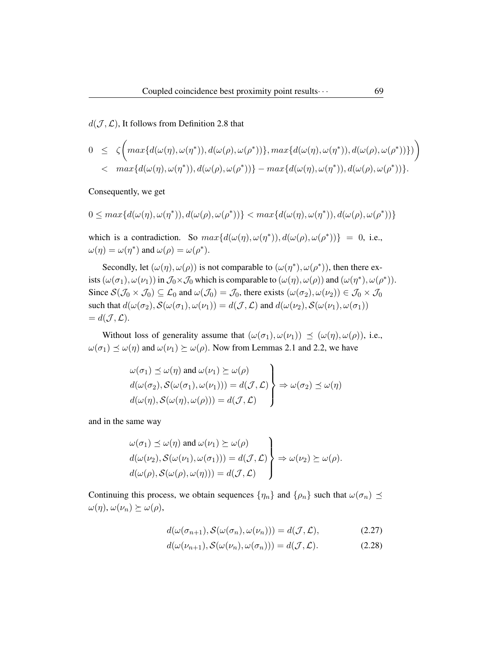$d(\mathcal{J}, \mathcal{L})$ , It follows from Definition 2.8 that

$$
0 \leq \zeta \bigg( \max \{ d(\omega(\eta), \omega(\eta^*)), d(\omega(\rho), \omega(\rho^*)) \}, \max \{ d(\omega(\eta), \omega(\eta^*)), d(\omega(\rho), \omega(\rho^*)) \} \bigg) < \max \{ d(\omega(\eta), \omega(\eta^*)), d(\omega(\rho), \omega(\rho^*)) \} - \max \{ d(\omega(\eta), \omega(\eta^*)), d(\omega(\rho), \omega(\rho^*)) \}.
$$

Consequently, we get

$$
0 \leq \max\{d(\omega(\eta), \omega(\eta^*)), d(\omega(\rho), \omega(\rho^*))\} < \max\{d(\omega(\eta), \omega(\eta^*)), d(\omega(\rho), \omega(\rho^*))\}
$$

which is a contradiction. So  $max{d(\omega(\eta), \omega(\eta^*)), d(\omega(\rho), \omega(\rho^*))} = 0$ , i.e.,  $\omega(\eta) = \omega(\eta^*)$  and  $\omega(\rho) = \omega(\rho^*).$ 

Secondly, let  $(\omega(\eta), \omega(\rho))$  is not comparable to  $(\omega(\eta^*), \omega(\rho^*))$ , then there exists  $(\omega(\sigma_1), \omega(\nu_1))$  in  $\mathcal{J}_0 \times \mathcal{J}_0$  which is comparable to  $(\omega(\eta), \omega(\rho))$  and  $(\omega(\eta^*), \omega(\rho^*))$ . Since  $\mathcal{S}(\mathcal{J}_0 \times \mathcal{J}_0) \subseteq \mathcal{L}_0$  and  $\omega(\mathcal{J}_0) = \mathcal{J}_0$ , there exists  $(\omega(\sigma_2), \omega(\nu_2)) \in \mathcal{J}_0 \times \mathcal{J}_0$ such that  $d(\omega(\sigma_2), \mathcal{S}(\omega(\sigma_1), \omega(\nu_1)) = d(\mathcal{J}, \mathcal{L})$  and  $d(\omega(\nu_2), \mathcal{S}(\omega(\nu_1), \omega(\sigma_1))$  $= d(\mathcal{J}, \mathcal{L}).$ 

Without loss of generality assume that  $(\omega(\sigma_1), \omega(\nu_1)) \preceq (\omega(\eta), \omega(\rho))$ , i.e.,  $\omega(\sigma_1) \preceq \omega(\eta)$  and  $\omega(\nu_1) \succeq \omega(\rho)$ . Now from Lemmas 2.1 and 2.2, we have

$$
\omega(\sigma_1) \preceq \omega(\eta) \text{ and } \omega(\nu_1) \succeq \omega(\rho)
$$
  

$$
d(\omega(\sigma_2), S(\omega(\sigma_1), \omega(\nu_1))) = d(\mathcal{J}, \mathcal{L}) \Rightarrow \omega(\sigma_2) \preceq \omega(\eta)
$$
  

$$
d(\omega(\eta), S(\omega(\eta), \omega(\rho))) = d(\mathcal{J}, \mathcal{L})
$$

and in the same way

$$
\omega(\sigma_1) \preceq \omega(\eta) \text{ and } \omega(\nu_1) \succeq \omega(\rho)
$$
  
\n
$$
d(\omega(\nu_2), S(\omega(\nu_1), \omega(\sigma_1))) = d(\mathcal{J}, \mathcal{L}) \rightarrow \omega(\nu_2) \succeq \omega(\rho).
$$
  
\n
$$
d(\omega(\rho), S(\omega(\rho), \omega(\eta))) = d(\mathcal{J}, \mathcal{L}) \rightarrow \omega(\nu_2) \succeq \omega(\rho).
$$

Continuing this process, we obtain sequences  $\{\eta_n\}$  and  $\{\rho_n\}$  such that  $\omega(\sigma_n) \preceq$  $\omega(\eta), \omega(\nu_n) \succeq \omega(\rho),$ 

$$
d(\omega(\sigma_{n+1}), \mathcal{S}(\omega(\sigma_n), \omega(\nu_n))) = d(\mathcal{J}, \mathcal{L}), \tag{2.27}
$$

$$
d(\omega(\nu_{n+1}), \mathcal{S}(\omega(\nu_n), \omega(\sigma_n))) = d(\mathcal{J}, \mathcal{L}). \tag{2.28}
$$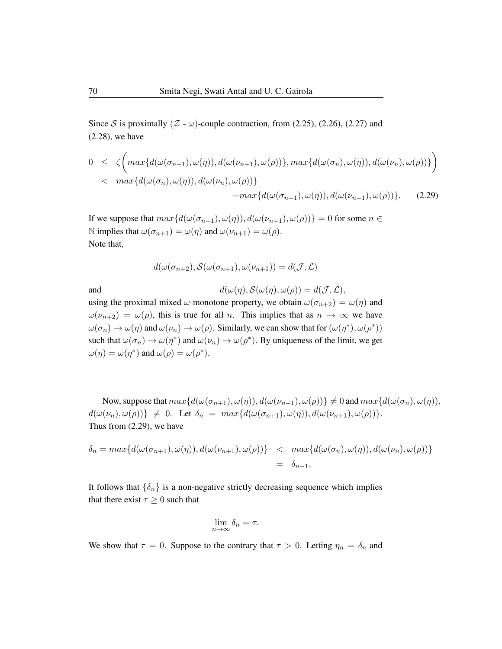Since S is proximally  $(Z - \omega)$ -couple contraction, from (2.25), (2.26), (2.27) and (2.28), we have

$$
0 \leq \zeta \bigg( \max \{ d(\omega(\sigma_{n+1}), \omega(\eta)), d(\omega(\nu_{n+1}), \omega(\rho)) \}, \max \{ d(\omega(\sigma_n), \omega(\eta)), d(\omega(\nu_n), \omega(\rho)) \} \bigg) 
$$
= \max \{ d(\omega(\sigma_n), \omega(\eta)), d(\omega(\nu_n), \omega(\rho)) \} - \max \{ d(\omega(\sigma_{n+1}), \omega(\eta)), d(\omega(\nu_{n+1}), \omega(\rho)) \}.
$$
 (2.29)
$$

If we suppose that  $max{d(\omega(\sigma_{n+1}), \omega(\eta)), d(\omega(\nu_{n+1}), \omega(\rho))} = 0$  for some  $n \in$ N implies that  $\omega(\sigma_{n+1}) = \omega(\eta)$  and  $\omega(\nu_{n+1}) = \omega(\rho)$ . Note that,

$$
d(\omega(\sigma_{n+2}), \mathcal{S}(\omega(\sigma_{n+1}), \omega(\nu_{n+1})) = d(\mathcal{J}, \mathcal{L})
$$

and 
$$
d(\omega(\eta), \mathcal{S}(\omega(\eta), \omega(\rho)) = d(\mathcal{J}, \mathcal{L}),
$$

using the proximal mixed  $\omega$ -monotone property, we obtain  $\omega(\sigma_{n+2}) = \omega(\eta)$  and  $\omega(\nu_{n+2}) = \omega(\rho)$ , this is true for all n. This implies that as  $n \to \infty$  we have  $\omega(\sigma_n) \to \omega(\eta)$  and  $\omega(\nu_n) \to \omega(\rho)$ . Similarly, we can show that for  $(\omega(\eta^*), \omega(\rho^*))$ such that  $\omega(\sigma_n) \to \omega(\eta^*)$  and  $\omega(\nu_n) \to \omega(\rho^*)$ . By uniqueness of the limit, we get  $\omega(\eta) = \omega(\eta^*)$  and  $\omega(\rho) = \omega(\rho^*).$ 

Now, suppose that  $max{d(\omega(\sigma_{n+1}), \omega(\eta)), d(\omega(\nu_{n+1}), \omega(\rho))} \neq 0$  and  $max{d(\omega(\sigma_n), \omega(\eta))}$ ,  $d(\omega(\nu_n), \omega(\rho))\}\neq 0.$  Let  $\delta_n = \max\{d(\omega(\sigma_{n+1}), \omega(\eta)), d(\omega(\nu_{n+1}), \omega(\rho))\}.$ Thus from (2.29), we have

$$
\delta_n = \max \{ d(\omega(\sigma_{n+1}), \omega(\eta)), d(\omega(\nu_{n+1}), \omega(\rho)) \} < \max \{ d(\omega(\sigma_n), \omega(\eta)), d(\omega(\nu_n), \omega(\rho)) \}
$$
  
=  $\delta_{n-1}.$ 

It follows that  $\{\delta_n\}$  is a non-negative strictly decreasing sequence which implies that there exist  $\tau \geq 0$  such that

$$
\lim_{n \to \infty} \delta_n = \tau.
$$

We show that  $\tau = 0$ . Suppose to the contrary that  $\tau > 0$ . Letting  $\eta_n = \delta_n$  and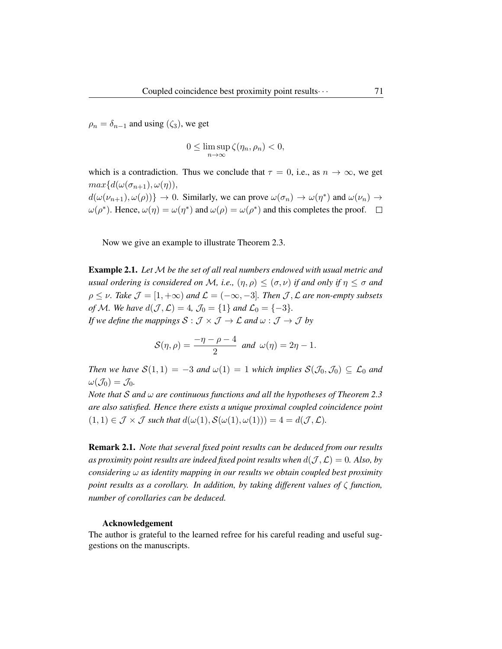$\rho_n = \delta_{n-1}$  and using  $(\zeta_3)$ , we get

$$
0 \leq \limsup_{n \to \infty} \zeta(\eta_n, \rho_n) < 0,
$$

which is a contradiction. Thus we conclude that  $\tau = 0$ , i.e., as  $n \to \infty$ , we get  $max{d(\omega(\sigma_{n+1}), \omega(\eta))},$  $d(\omega(\nu_{n+1}), \omega(\rho))\}\to 0$ . Similarly, we can prove  $\omega(\sigma_n) \to \omega(\eta^*)$  and  $\omega(\nu_n) \to \omega(\eta^*)$  $\omega(\rho^*)$ . Hence,  $\omega(\eta) = \omega(\eta^*)$  and  $\omega(\rho) = \omega(\rho^*)$  and this completes the proof.

Now we give an example to illustrate Theorem 2.3.

Example 2.1. *Let* M *be the set of all real numbers endowed with usual metric and usual ordering is considered on* M, i.e.,  $(\eta, \rho) \leq (\sigma, \nu)$  *if and only if*  $\eta \leq \sigma$  *and*  $\rho \leq \nu$ . Take  $\mathcal{J} = [1, +\infty)$  and  $\mathcal{L} = (-\infty, -3]$ . Then  $\mathcal{J}, \mathcal{L}$  are non-empty subsets *of* M. We have  $d(\mathcal{J}, \mathcal{L}) = 4$ ,  $\mathcal{J}_0 = \{1\}$  and  $\mathcal{L}_0 = \{-3\}$ . *If we define the mappings*  $S : \mathcal{J} \times \mathcal{J} \to \mathcal{L}$  *and*  $\omega : \mathcal{J} \to \mathcal{J}$  *by* 

$$
\mathcal{S}(\eta,\rho)=\frac{-\eta-\rho-4}{2} \text{ and } \omega(\eta)=2\eta-1.
$$

*Then we have*  $S(1,1) = -3$  *and*  $\omega(1) = 1$  *which implies*  $S(\mathcal{J}_0, \mathcal{J}_0) \subseteq \mathcal{L}_0$  *and*  $\omega(\mathcal{J}_0) = \mathcal{J}_0.$ 

*Note that* S *and* ω *are continuous functions and all the hypotheses of Theorem 2.3 are also satisfied. Hence there exists a unique proximal coupled coincidence point*  $(1, 1) \in \mathcal{J} \times \mathcal{J}$  *such that*  $d(\omega(1), \mathcal{S}(\omega(1), \omega(1))) = 4 = d(\mathcal{J}, \mathcal{L})$ *.* 

Remark 2.1. *Note that several fixed point results can be deduced from our results* as proximity point results are indeed fixed point results when  $d(\mathcal{J}, \mathcal{L}) = 0$ . Also, by *considering* ω *as identity mapping in our results we obtain coupled best proximity point results as a corollary. In addition, by taking different values of* ζ *function, number of corollaries can be deduced.*

#### Acknowledgement

The author is grateful to the learned refree for his careful reading and useful suggestions on the manuscripts.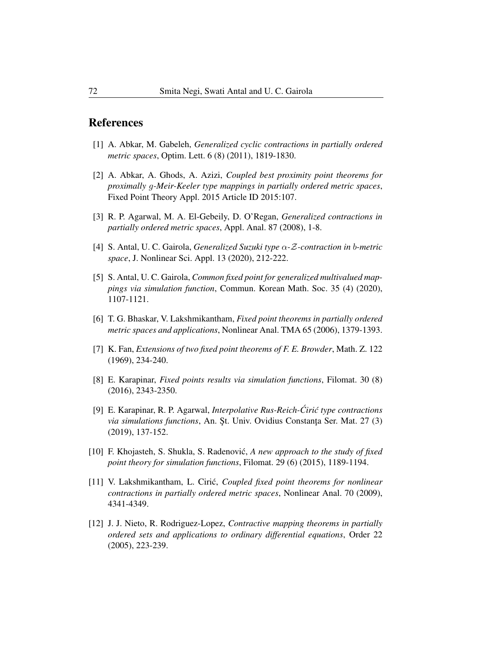## References

- [1] A. Abkar, M. Gabeleh, *Generalized cyclic contractions in partially ordered metric spaces*, Optim. Lett. 6 (8) (2011), 1819-1830.
- [2] A. Abkar, A. Ghods, A. Azizi, *Coupled best proximity point theorems for proximally* g*-Meir-Keeler type mappings in partially ordered metric spaces*, Fixed Point Theory Appl. 2015 Article ID 2015:107.
- [3] R. P. Agarwal, M. A. El-Gebeily, D. O'Regan, *Generalized contractions in partially ordered metric spaces*, Appl. Anal. 87 (2008), 1-8.
- [4] S. Antal, U. C. Gairola, *Generalized Suzuki type* α*-*Z*-contraction in* b*-metric space*, J. Nonlinear Sci. Appl. 13 (2020), 212-222.
- [5] S. Antal, U. C. Gairola, *Common fixed point for generalized multivalued mappings via simulation function*, Commun. Korean Math. Soc. 35 (4) (2020), 1107-1121.
- [6] T. G. Bhaskar, V. Lakshmikantham, *Fixed point theorems in partially ordered metric spaces and applications*, Nonlinear Anal. TMA 65 (2006), 1379-1393.
- [7] K. Fan, *Extensions of two fixed point theorems of F. E. Browder*, Math. Z. 122 (1969), 234-240.
- [8] E. Karapinar, *Fixed points results via simulation functions*, Filomat. 30 (8) (2016), 2343-2350.
- [9] E. Karapinar, R. P. Agarwal, *Interpolative Rus-Reich-Ciri ´ c type contractions ´ via simulations functions*, An. St. Univ. Ovidius Constanta Ser. Mat. 27 (3) (2019), 137-152.
- [10] F. Khojasteh, S. Shukla, S. Radenovic,´ *A new approach to the study of fixed point theory for simulation functions*, Filomat. 29 (6) (2015), 1189-1194.
- [11] V. Lakshmikantham, L. Ciric,´ *Coupled fixed point theorems for nonlinear contractions in partially ordered metric spaces*, Nonlinear Anal. 70 (2009), 4341-4349.
- [12] J. J. Nieto, R. Rodriguez-Lopez, *Contractive mapping theorems in partially ordered sets and applications to ordinary differential equations*, Order 22 (2005), 223-239.